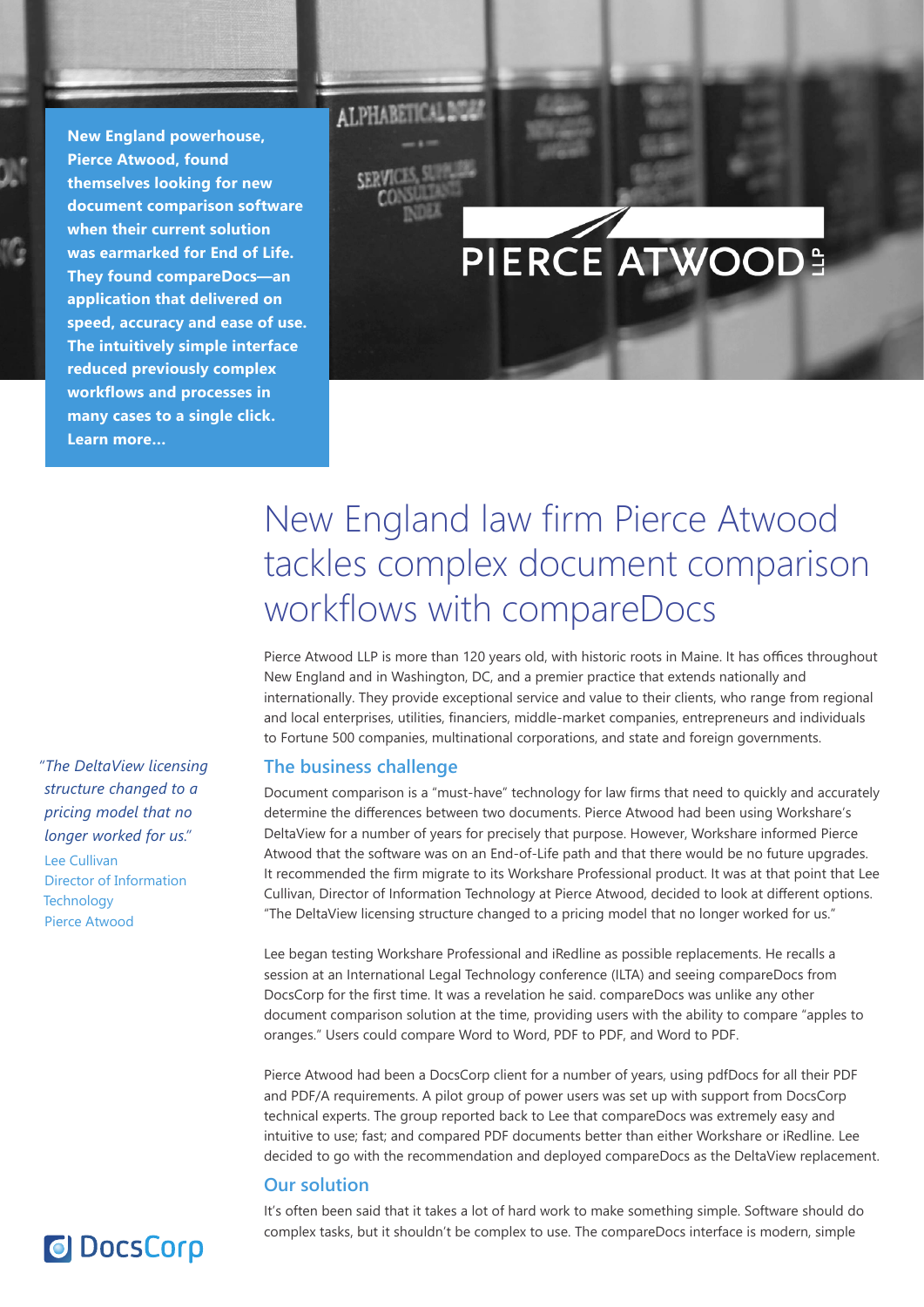**New England powerhouse, Pierce Atwood, found themselves looking for new document comparison software when their current solution was earmarked for End of Life. They found compareDocs—an application that delivered on speed, accuracy and ease of use. The intuitively simple interface reduced previously complex workflows and processes in many cases to a single click. Learn more…**

# PIERCE ATWOOD!

*"The DeltaView licensing structure changed to a pricing model that no longer worked for us."*

Lee Cullivan Director of Information **Technology** Pierce Atwood

**O** DocsCorp

# New England law firm Pierce Atwood tackles complex document comparison workflows with compareDocs

Pierce Atwood LLP is more than 120 years old, with historic roots in Maine. It has offices throughout New England and in Washington, DC, and a premier practice that extends nationally and internationally. They provide exceptional service and value to their clients, who range from regional and local enterprises, utilities, financiers, middle-market companies, entrepreneurs and individuals to Fortune 500 companies, multinational corporations, and state and foreign governments.

# **The business challenge**

**ALPHABETICALDO** 

Document comparison is a "must-have" technology for law firms that need to quickly and accurately determine the differences between two documents. Pierce Atwood had been using Workshare's DeltaView for a number of years for precisely that purpose. However, Workshare informed Pierce Atwood that the software was on an End-of-Life path and that there would be no future upgrades. It recommended the firm migrate to its Workshare Professional product. It was at that point that Lee Cullivan, Director of Information Technology at Pierce Atwood, decided to look at different options. "The DeltaView licensing structure changed to a pricing model that no longer worked for us."

Lee began testing Workshare Professional and iRedline as possible replacements. He recalls a session at an International Legal Technology conference (ILTA) and seeing compareDocs from DocsCorp for the first time. It was a revelation he said. compareDocs was unlike any other document comparison solution at the time, providing users with the ability to compare "apples to oranges." Users could compare Word to Word, PDF to PDF, and Word to PDF.

Pierce Atwood had been a DocsCorp client for a number of years, using pdfDocs for all their PDF and PDF/A requirements. A pilot group of power users was set up with support from DocsCorp technical experts. The group reported back to Lee that compareDocs was extremely easy and intuitive to use; fast; and compared PDF documents better than either Workshare or iRedline. Lee decided to go with the recommendation and deployed compareDocs as the DeltaView replacement.

## **Our solution**

It's often been said that it takes a lot of hard work to make something simple. Software should do complex tasks, but it shouldn't be complex to use. The compareDocs interface is modern, simple